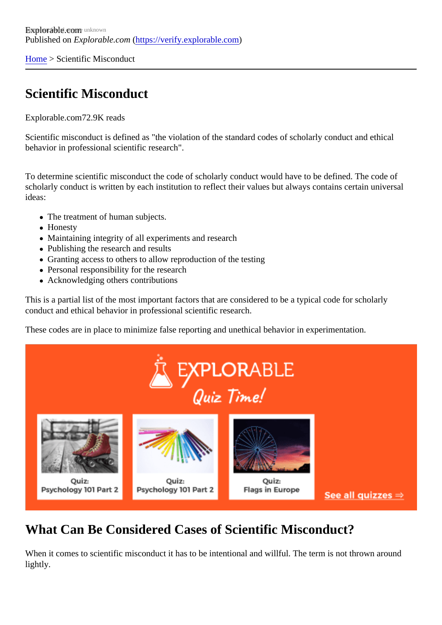[Home](https://verify.explorable.com/)> Scientific Misconduct

### Scientific Misconduct

Explorable.com72.9K reads

Scientific misconduct is defined as "the violation of the standard codes of scholarly conduct and ethical behavior in professional scientific research".

To determine scientific misconduct the code of scholarly conduct would have to be defined. The code of scholarly conduct is written by each institution to reflect their values but always contains certain universal ideas:

- The treatment of human subjects.
- Honesty
- Maintaining integrity of all experiments and research
- Publishing the research and results
- Granting access to others to allow reproduction of the testing
- Personal responsibility for the research
- Acknowledging others contributions

This is a partial list of the most important factors that are considered to be a typical code for scholarly conduct and ethical behavior in professional scientific research.

These codes are in place to minimize false reporting and unethical behavior in experimentation.

# What Can Be Considered Cases of Scientific Misconduct?

When it comes to scientific misconduct it has to be intentional and willful. The term is not thrown around lightly.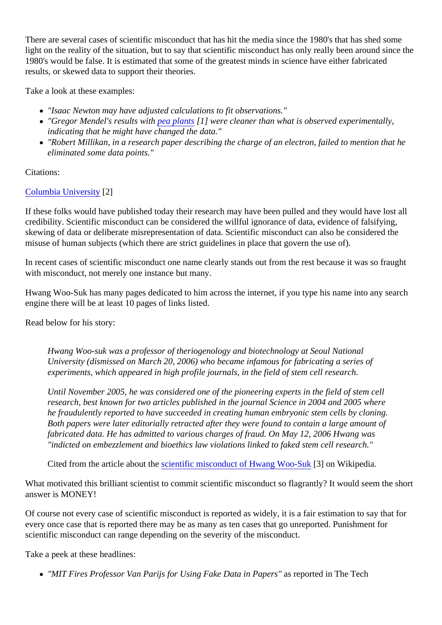There are several cases of scientific misconduct that has hit the media since the 1980's that has shed some light on the reality of the situation, but to say that scientific misconduct has only really been around since t 1980's would be false. It is estimated that some of the greatest minds in science have either fabricated results, or skewed data to support their theories.

Take a look at these examples:

- "Isaac Newton may have adjusted calculations to fit observations."
- "Gregor Mendel's results with ea plants [1] were cleaner than what is observed experimentally, indicating that he might have changed the data."
- "Robert Millikan, in a research paper describing the charge of an electron, failed to mention that he eliminated some data points."

#### Citations:

### [Columbia University](http://ccnmtl.columbia.edu/projects/rcr/rcr_misconduct/foundation/index#1_B_1)<sup>2</sup>]

If these folks would have published today their research may have been pulled and they would have lost a credibility. Scientific misconduct can be considered the willful ignorance of data, evidence of falsifying, skewing of data or deliberate misrepresentation of data. Scientific misconduct can also be considered the misuse of human subjects (which there are strict guidelines in place that govern the use of).

In recent cases of scientific misconduct one name clearly stands out from the rest because it was so fraught with misconduct, not merely one instance but many.

Hwang Woo-Suk has many pages dedicated to him across the internet, if you type his name into any sear engine there will be at least 10 pages of links listed.

Read below for his story:

Hwang Woo-suk was a professor of theriogenology and biotechnology at Seoul National University (dismissed on March 20, 2006) who became infamous for fabricating a series of experiments, which appeared in high profile journals, in the field of stem cell research.

Until November 2005, he was considered one of the pioneering experts in the field of stem cell research, best known for two articles published in the journal Science in 2004 and 2005 where he fraudulently reported to have succeeded in creating human embryonic stem cells by cloning. Both papers were later editorially retracted after they were found to contain a large amount of fabricated data. He has admitted to various charges of fraud. On May 12, 2006 Hwang was "indicted on embezzlement and bioethics law violations linked to faked stem cell research."

Cited from the article about the seientific misconduct of Hwang Woo-Sult on Wikipedia.

What motivated this brilliant scientist to commit scientific misconduct so flagrantly? It would seem the shor answer is MONEY!

Of course not every case of scientific misconduct is reported as widely, it is a fair estimation to say that for every once case that is reported there may be as many as ten cases that go unreported. Punishment for scientific misconduct can range depending on the severity of the misconduct.

Take a peek at these headlines:

• "MIT Fires Professor Van Parijs for Using Fake Data in Papers "reported in The Tech